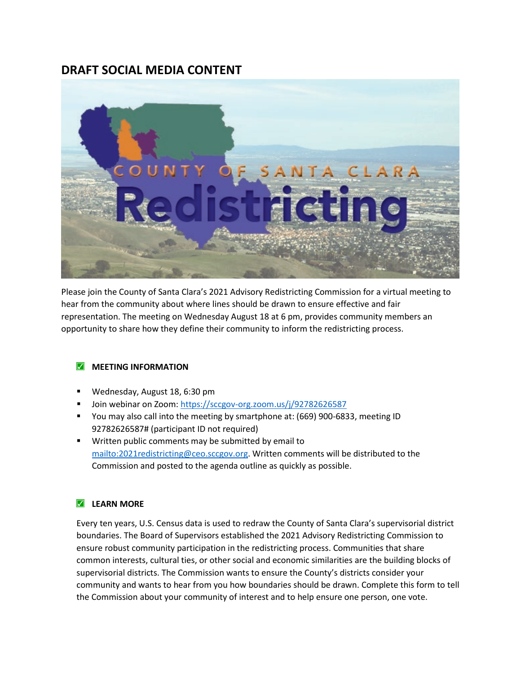## **DRAFT SOCIAL MEDIA CONTENT**



Please join the County of Santa Clara's 2021 Advisory Redistricting Commission for a virtual meeting to hear from the community about where lines should be drawn to ensure effective and fair representation. The meeting on Wednesday August 18 at 6 pm, provides community members an opportunity to share how they define their community to inform the redistricting process.

## **MEETING INFORMATION**

- Wednesday, August 18, 6:30 pm
- Join webinar on Zoom:<https://sccgov-org.zoom.us/j/92782626587>
- You may also call into the meeting by smartphone at: (669) 900-6833, meeting ID 92782626587# (participant ID not required)
- **Written public comments may be submitted by email to** [mailto:2021redistricting@ceo.sccgov.org.](mailto:2021redistricting@ceo.sccgov.org) Written comments will be distributed to the Commission and posted to the agenda outline as quickly as possible.

## **LEARN MORE**

Every ten years, U.S. Census data is used to redraw the County of Santa Clara's supervisorial district boundaries. The Board of Supervisors established the 2021 Advisory Redistricting Commission to ensure robust community participation in the redistricting process. Communities that share common interests, cultural ties, or other social and economic similarities are the building blocks of supervisorial districts. The Commission wants to ensure the County's districts consider your community and wants to hear from you how boundaries should be drawn. Complete this form to tell the Commission about your community of interest and to help ensure one person, one vote.